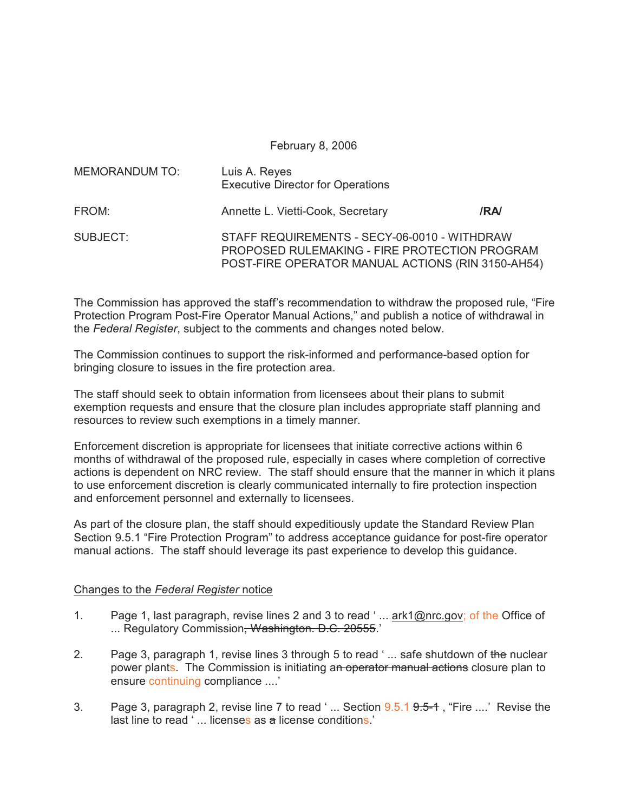February 8, 2006

| <b>MEMORANDUM TO:</b> | Luis A. Reyes<br><b>Executive Director for Operations</b>                                                                                          |      |
|-----------------------|----------------------------------------------------------------------------------------------------------------------------------------------------|------|
| FROM:                 | Annette L. Vietti-Cook, Secretary                                                                                                                  | /RA/ |
| SUBJECT:              | STAFF REQUIREMENTS - SECY-06-0010 - WITHDRAW<br>PROPOSED RULEMAKING - FIRE PROTECTION PROGRAM<br>POST-FIRE OPERATOR MANUAL ACTIONS (RIN 3150-AH54) |      |

The Commission has approved the staff's recommendation to withdraw the proposed rule, "Fire Protection Program Post-Fire Operator Manual Actions," and publish a notice of withdrawal in the *Federal Register*, subject to the comments and changes noted below.

The Commission continues to support the risk-informed and performance-based option for bringing closure to issues in the fire protection area.

The staff should seek to obtain information from licensees about their plans to submit exemption requests and ensure that the closure plan includes appropriate staff planning and resources to review such exemptions in a timely manner.

Enforcement discretion is appropriate for licensees that initiate corrective actions within 6 months of withdrawal of the proposed rule, especially in cases where completion of corrective actions is dependent on NRC review. The staff should ensure that the manner in which it plans to use enforcement discretion is clearly communicated internally to fire protection inspection and enforcement personnel and externally to licensees.

As part of the closure plan, the staff should expeditiously update the Standard Review Plan Section 9.5.1 "Fire Protection Program" to address acceptance guidance for post-fire operator manual actions. The staff should leverage its past experience to develop this guidance.

## Changes to the *Federal Register* notice

- 1. Page 1, last paragraph, revise lines 2 and 3 to read ' ... ark1@nrc.gov; of the Office of ... Regulatory Commission<del>, Washington. D.C. 20555</del>.'
- 2. Page 3, paragraph 1, revise lines 3 through 5 to read '... safe shutdown of the nuclear power plants. The Commission is initiating an operator manual actions closure plan to ensure continuing compliance ....'
- 3. Page 3, paragraph 2, revise line 7 to read  $\cdot \dots$  Section  $9.5.1$   $9.5-1$ , "Fire  $\dots$ ." Revise the last line to read ' ... licenses as a license conditions.'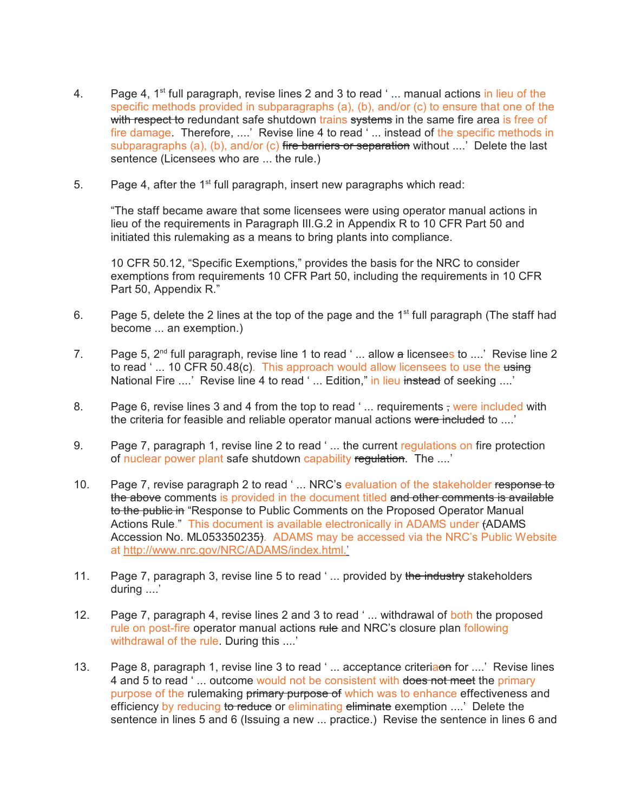- 4. Page 4,  $1^{st}$  full paragraph, revise lines 2 and 3 to read '... manual actions in lieu of the specific methods provided in subparagraphs (a), (b), and/or (c) to ensure that one of the with respect to redundant safe shutdown trains systems in the same fire area is free of fire damage. Therefore, ....' Revise line 4 to read '... instead of the specific methods in subparagraphs (a), (b), and/or (c) fire barriers or separation without ....' Delete the last sentence (Licensees who are ... the rule.)
- 5. Page 4, after the  $1<sup>st</sup>$  full paragraph, insert new paragraphs which read:

"The staff became aware that some licensees were using operator manual actions in lieu of the requirements in Paragraph III.G.2 in Appendix R to 10 CFR Part 50 and initiated this rulemaking as a means to bring plants into compliance.

10 CFR 50.12, "Specific Exemptions," provides the basis for the NRC to consider exemptions from requirements 10 CFR Part 50, including the requirements in 10 CFR Part 50, Appendix R."

- 6. Page 5, delete the 2 lines at the top of the page and the  $1<sup>st</sup>$  full paragraph (The staff had become ... an exemption.)
- 7. Page 5,  $2^{nd}$  full paragraph, revise line 1 to read '... allow a licensees to ....' Revise line 2 to read '... 10 CFR 50.48(c). This approach would allow licensees to use the using National Fire ....' Revise line 4 to read '... Edition," in lieu instead of seeking ....'
- 8. Page 6, revise lines 3 and 4 from the top to read '... requirements , were included with the criteria for feasible and reliable operator manual actions were included to ....'
- 9. Page 7, paragraph 1, revise line 2 to read '... the current regulations on fire protection of nuclear power plant safe shutdown capability regulation. The ....'
- 10. Page 7, revise paragraph 2 to read '... NRC's evaluation of the stakeholder response to the above comments is provided in the document titled and other comments is available to the public in "Response to Public Comments on the Proposed Operator Manual Actions Rule." This document is available electronically in ADAMS under (ADAMS Accession No. ML053350235). ADAMS may be accessed via the NRC's Public Website at http://www.nrc.gov/NRC/ADAMS/index.html.'
- 11. Page 7, paragraph 3, revise line 5 to read '... provided by the industry stakeholders during ....'
- 12. Page 7, paragraph 4, revise lines 2 and 3 to read '... withdrawal of both the proposed rule on post-fire operator manual actions rule and NRC's closure plan following withdrawal of the rule. During this ....'
- 13. Page 8, paragraph 1, revise line 3 to read '... acceptance criteriaon for ....' Revise lines 4 and 5 to read '... outcome would not be consistent with does not meet the primary purpose of the rulemaking primary purpose of which was to enhance effectiveness and efficiency by reducing to reduce or eliminating eliminate exemption ....' Delete the sentence in lines 5 and 6 (Issuing a new ... practice.) Revise the sentence in lines 6 and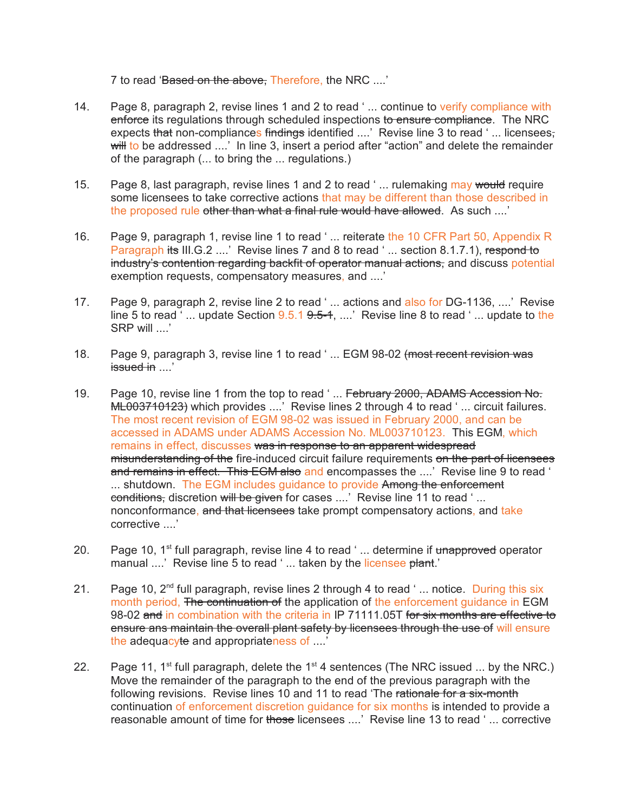7 to read 'Based on the above. Therefore, the NRC ....'

- 14. Page 8, paragraph 2, revise lines 1 and 2 to read '... continue to verify compliance with enforce its regulations through scheduled inspections to ensure compliance. The NRC expects that non-compliances findings identified ....' Revise line 3 to read '... licensees, will to be addressed ....' In line 3, insert a period after "action" and delete the remainder of the paragraph (... to bring the ... regulations.)
- 15. Page 8, last paragraph, revise lines 1 and 2 to read '... rulemaking may would require some licensees to take corrective actions that may be different than those described in the proposed rule other than what a final rule would have allowed. As such ....'
- 16. Page 9, paragraph 1, revise line 1 to read '... reiterate the 10 CFR Part 50, Appendix R Paragraph its III.G.2 ....' Revise lines 7 and 8 to read '... section 8.1.7.1), respond to industry's contention regarding backfit of operator manual actions, and discuss potential exemption requests, compensatory measures, and ....'
- 17. Page 9, paragraph 2, revise line 2 to read ' ... actions and also for DG-1136, ....' Revise line 5 to read '... update Section  $9.5.1$   $9.5-1$ , ....' Revise line 8 to read '... update to the SRP will ....'
- 18. Page 9, paragraph 3, revise line 1 to read '... EGM 98-02 (most recent revision was issued in ....'
- 19. Page 10, revise line 1 from the top to read '... February 2000, ADAMS Accession No. ML003710123) which provides ....' Revise lines 2 through 4 to read '... circuit failures. The most recent revision of EGM 98-02 was issued in February 2000, and can be accessed in ADAMS under ADAMS Accession No. ML003710123. This EGM, which remains in effect, discusses was in response to an apparent widespread misunderstanding of the fire-induced circuit failure requirements on the part of licensees and remains in effect. This EGM also and encompasses the ....' Revise line 9 to read ' ... shutdown. The EGM includes guidance to provide Among the enforcement conditions, discretion will be given for cases ....' Revise line 11 to read '... nonconformance, and that licensees take prompt compensatory actions, and take corrective ....'
- 20. Page 10,  $1^{st}$  full paragraph, revise line 4 to read '... determine if unapproved operator manual ....' Revise line 5 to read '... taken by the licensee plant.'
- 21. Page 10,  $2<sup>nd</sup>$  full paragraph, revise lines 2 through 4 to read '... notice. During this six month period, The continuation of the application of the enforcement quidance in EGM 98-02 and in combination with the criteria in IP 71111.05T for six months are effective to ensure ans maintain the overall plant safety by licensees through the use of will ensure the adequacyte and appropriateness of ....'
- 22. Page 11, 1<sup>st</sup> full paragraph, delete the 1<sup>st</sup> 4 sentences (The NRC issued ... by the NRC.) Move the remainder of the paragraph to the end of the previous paragraph with the following revisions. Revise lines 10 and 11 to read 'The rationale for a six-month continuation of enforcement discretion guidance for six months is intended to provide a reasonable amount of time for those licensees ....' Revise line 13 to read '... corrective